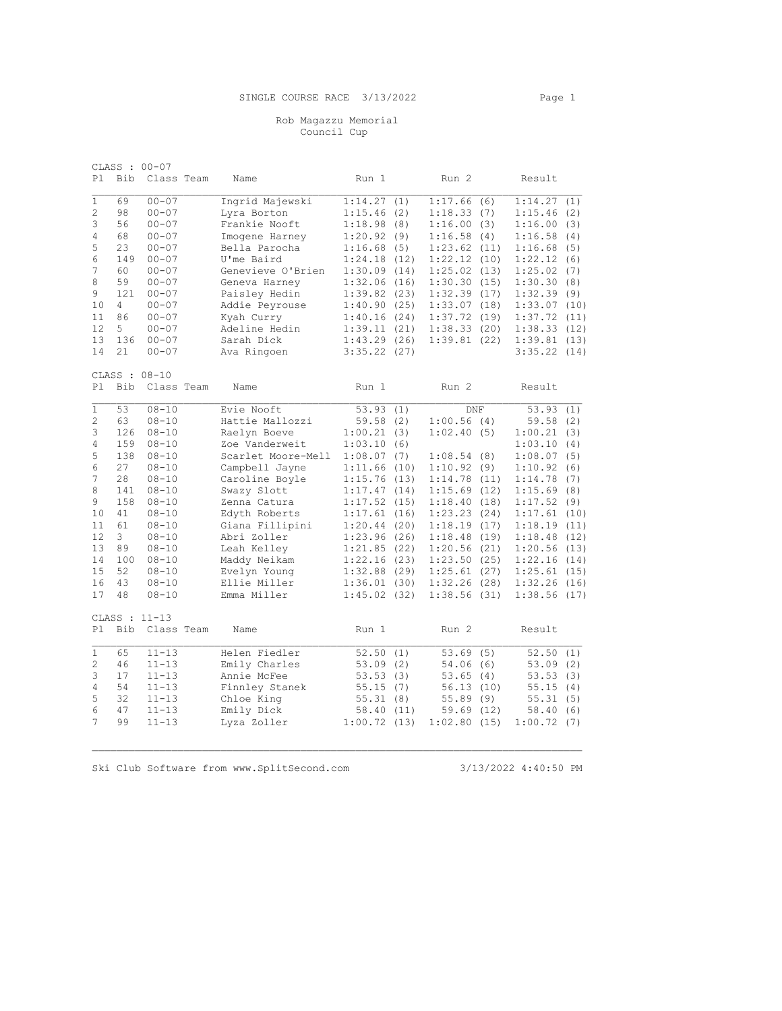## Rob Magazzu Memorial Council Cup

| P1             | Bib            | CLASS : 00-07<br>Class Team | Name               | Run 1          |      | Run <sub>2</sub> |      | Result      |     |
|----------------|----------------|-----------------------------|--------------------|----------------|------|------------------|------|-------------|-----|
| 1              | 69             | $00 - 07$                   | Ingrid Majewski    | 1:14.27        | (1)  | 1:17.66(6)       |      | 1:14.27(1)  |     |
| 2              | 98             | $00 - 07$                   | Lyra Borton        | 1:15.46(2)     |      | 1:18.33(7)       |      | 1:15.46(2)  |     |
| 3              | 56             | $00 - 07$                   | Frankie Nooft      | 1:18.98(8)     |      | 1:16.00(3)       |      | 1:16.00(3)  |     |
| 4              | 68             | $00 - 07$                   | Imogene Harney     | 1:20.92(9)     |      | 1:16.58(4)       |      | 1:16.58(4)  |     |
| 5              | 23             | $00 - 07$                   | Bella Parocha      | 1:16.68(5)     |      | 1:23.62(11)      |      | 1:16.68(5)  |     |
| 6              | 149            | $00 - 07$                   | U'me Baird         | 1:24.18(12)    |      | 1:22.12(10)      |      | 1:22.12(6)  |     |
| 7              | 60             | $00 - 07$                   | Genevieve O'Brien  | 1:30.09(14)    |      | 1:25.02(13)      |      | 1:25.02(7)  |     |
| 8              | 59             | $00 - 07$                   | Geneva Harney      | 1:32.06(16)    |      | 1:30.30(15)      |      | 1:30.30(8)  |     |
| 9              | 121            | $00 - 07$                   | Paisley Hedin      | 1:39.82(23)    |      | 1:32.39(17)      |      | 1:32.39(9)  |     |
| 10             | $\overline{4}$ | $00 - 07$                   | Addie Peyrouse     | 1:40.90(25)    |      | 1:33.07(18)      |      | 1:33.07(10) |     |
| 11             | 86             | $00 - 07$                   | Kyah Curry         | 1:40.16(24)    |      | 1:37.72(19)      |      | 1:37.72(11) |     |
| 12             | 5              | $00 - 07$                   | Adeline Hedin      | 1:39.11(21)    |      | 1:38.33(20)      |      | 1:38.33(12) |     |
| 13             | 136            | $00 - 07$                   | Sarah Dick         | 1:43.29(26)    |      | 1:39.81(22)      |      | 1:39.81(13) |     |
| 14             | 21             | $00 - 07$                   | Ava Ringoen        | $3:35.22$ (27) |      |                  |      | 3:35.22(14) |     |
|                |                |                             |                    |                |      |                  |      |             |     |
|                |                | CLASS : 08-10               |                    |                |      |                  |      |             |     |
| P1             | Bib            | Class Team                  | Name               | Run 1          |      | Run <sub>2</sub> |      | Result      |     |
| 1              | 53             | $08 - 10$                   | Evie Nooft         | 53.93(1)       |      | <b>DNF</b>       |      | 53.93(1)    |     |
| 2              | 63             | $08 - 10$                   | Hattie Mallozzi    | 59.58          | (2)  | 1:00.56(4)       |      | 59.58(2)    |     |
| 3              | 126            | $08 - 10$                   | Raelyn Boeve       | 1:00.21        | (3)  | 1:02.40(5)       |      | 1:00.21(3)  |     |
| 4              | 159            | $08 - 10$                   | Zoe Vanderweit     | 1:03.10        | (6)  |                  |      | 1:03.10(4)  |     |
| 5              | 138            | $08 - 10$                   | Scarlet Moore-Mell | 1:08.07        | (7)  | 1:08.54(8)       |      | 1:08.07(5)  |     |
| 6              | 27             | $08 - 10$                   | Campbell Jayne     | 1:11.66        | (10) | 1:10.92(9)       |      | 1:10.92(6)  |     |
| 7              | 28             | $08 - 10$                   | Caroline Boyle     | 1:15.76(13)    |      | 1:14.78(11)      |      | 1:14.78(7)  |     |
| 8              | 141            | $08 - 10$                   | Swazy Slott        | 1:17.47        | (14) | 1:15.69(12)      |      | 1:15.69(8)  |     |
| 9              | 158            | $08 - 10$                   | Zenna Catura       | 1:17.52(15)    |      | 1:18.40(18)      |      | 1:17.52(9)  |     |
| 10             | 41             | $08 - 10$                   | Edyth Roberts      | 1:17.61(16)    |      | 1:23.23(24)      |      | 1:17.61(10) |     |
| 11             | 61             | $08 - 10$                   | Giana Fillipini    | 1:20.44(20)    |      | 1:18.19(17)      |      | 1:18.19(11) |     |
| 12             | 3              | $08 - 10$                   | Abri Zoller        | 1:23.96(26)    |      | 1:18.48(19)      |      | 1:18.48(12) |     |
| 13             | 89             | $08 - 10$                   | Leah Kelley        | 1:21.85(22)    |      | 1:20.56(21)      |      | 1:20.56(13) |     |
| 14             | 100            | $08 - 10$                   | Maddy Neikam       | 1:22.16(23)    |      | 1:23.50(25)      |      | 1:22.16(14) |     |
| 15             | 52             | $08 - 10$                   | Evelyn Young       | 1:32.88(29)    |      | 1:25.61(27)      |      | 1:25.61(15) |     |
| 16             | 43             | $08 - 10$                   | Ellie Miller       | 1:36.01(30)    |      | 1:32.26(28)      |      | 1:32.26(16) |     |
| 17             | 48             | $08 - 10$                   | Emma Miller        | 1:45.02(32)    |      | 1:38.56(31)      |      | 1:38.56(17) |     |
|                |                | CLASS : 11-13               |                    |                |      |                  |      |             |     |
| P1             | <b>Bib</b>     | Class Team                  | Name               | Run 1          |      | Run 2            |      | Result      |     |
|                |                |                             |                    |                |      |                  |      |             |     |
| 1              | 65             | $11 - 13$                   | Helen Fiedler      | 52.50          | (1)  | 53.69(5)         |      | 52.50       | (1) |
| $\overline{c}$ | 46             | $11 - 13$                   | Emily Charles      | 53.09          | (2)  | 54.06(6)         |      | 53.09(2)    |     |
| 3              | 17             | $11 - 13$                   | Annie McFee        | 53.53          | (3)  | 53.65(4)         |      | 53.53(3)    |     |
| 4              | 54             | $11 - 13$                   | Finnley Stanek     | 55.15          | (7)  | 56.13(10)        |      | 55.15       | (4) |
| 5              | 32             | $11 - 13$                   | Chloe King         | 55.31          | (8)  | 55.89(9)         |      | 55.31       | (5) |
| 6              | 47             | $11 - 13$                   | Emily Dick         | 58.40          | (11) | 59.69            | (12) | 58.40(6)    |     |
| 7              | 99             | $11 - 13$                   | Lyza Zoller        | 1:00.72        | (13) | 1:02.80          | (15) | 1:00.72     | (7) |

Ski Club Software from www.SplitSecond.com 3/13/2022 4:40:50 PM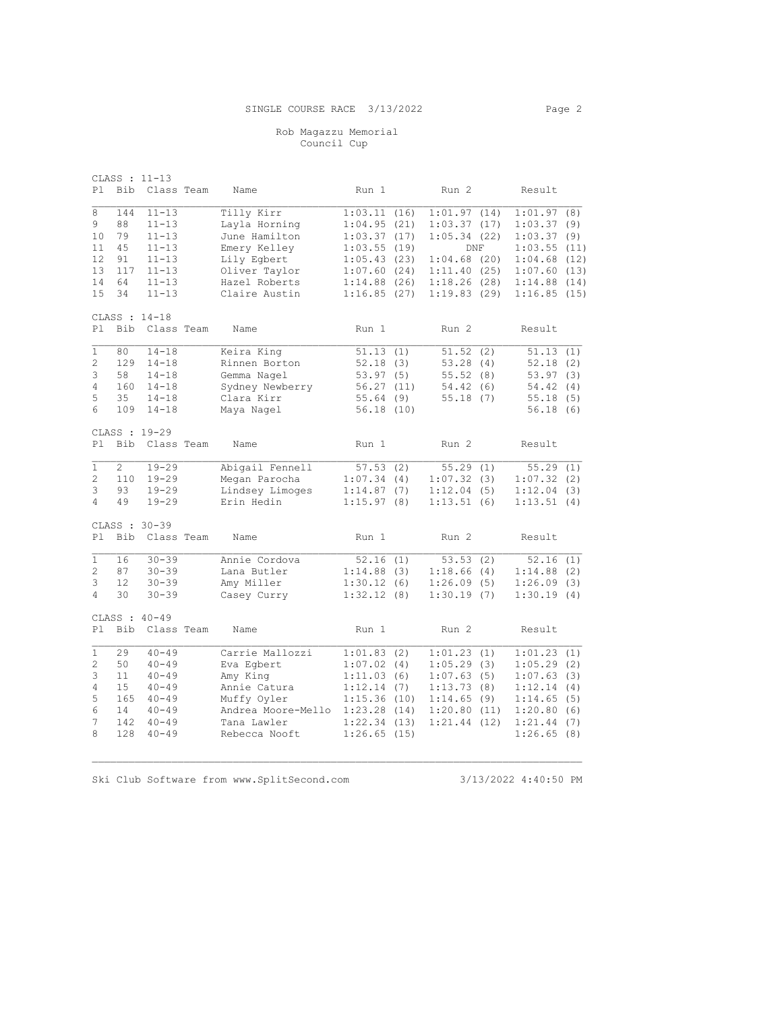## Rob Magazzu Memorial Council Cup

CLASS : 11-13 Pl Bib Class Team Name Run 1 Run 2 Result 8 144 11-13 Tilly Kirr 1:03.11 (16) 1:01.97 (14) 1:01.97 (8) 9 88 11-13 Layla Horning 1:04.95 (21) 1:03.37 (17) 1:03.37 (9) 10 79 11-13 June Hamilton 1:03.37 (17) 1:05.34 (22) 1:03.37 (9) 11 45 11-13 Emery Kelley 1:03.55 (19) DNF 1:03.55 (11) 12 91 11-13 Lily Egbert 1:05.43 (23) 1:04.68 (20) 1:04.68 (12) 13 117 11-13 Oliver Taylor 1:07.60 (24) 1:11.40 (25) 1:07.60 (13) 14 64 11-13 Hazel Roberts 1:14.88 (26) 1:18.26 (28) 1:14.88 (14) 15 34 11-13 Claire Austin 1:16.85 (27) 1:19.83 (29) 1:16.85 (15) CLASS : 14-18 Pl Bib Class Team Name Run 1 Run 2 Result 80 14-18 Keira King 51.13 (1) 51.52 (2) 51.13 (1)<br>129 14-18 Rinnen Borton 52.18 (3) 53.28 (4) 52.18 (2) 1 80 14-18 Keira King 51.13 (1) 51.52 (2) 51.13 (1) 2 129 14-18 Rinnen Borton 52.18 (3) 53.28 (4) 52.18 (2) 3 58 14-18 Gemma Nagel 53.97 (5) 55.52 (8) 53.97 (3) 4 160 14-18 Sydney Newberry 56.27 (11) 54.42 (6) 54.42 (4) 5 35 14-18 Clara Kirr 55.64 (9) 55.18 (7) 55.18 (5) 19 10 14-18 Sydney Newberry 56.27 (11) 54.42 (6) 54.42 (4)<br>
56 109 14-18 Maya Nagel 56.18 (10) 55.18 (7) 55.18 (6) CLASS : 19-29 Pl Bib Class Team Name Run 1 Run 2 Result 1 2 19-29 Abigail Fennell 57.53 (2) 55.29 (1) 55.29 (1) 2 110 19-29 Megan Parocha 1:07.34 (4) 1:07.32 (3) 1:07.32 (2) 3 93 19-29 Lindsey Limoges 1:14.87 (7) 1:12.04 (5) 1:12.04 (3) 4 49 19-29 Erin Hedin 1:15.97 (8) 1:13.51 (6) 1:13.51 (4) CLASS : 30-39 Pl Bib Class Team Name Run 1 Run 2 Result 1 16 30-39 Annie Cordova 52.16 (1) 53.53 (2) 52.16 (1) 2 87 30-39 Lana Butler 1:14.88 (3) 1:18.66 (4) 1:14.88 (2) 3 12 30-39 Amy Miller 1:30.12 (6) 1:26.09 (5) 1:26.09 (3) 4 30 30-39 Casey Curry 1:32.12 (8) 1:30.19 (7) 1:30.19 (4) CLASS : 40-49 Pl Bib Class Team Name Run 1 Run 2 Result 1 29 40-49 Carrie Mallozzi 1:01.83 (2) 1:01.23 (1) 1:01.23 (1) 2 50 40-49 Eva Egbert 1:07.02 (4) 1:05.29 (3) 1:05.29 (2) 3 11 40-49 Amy King 1:11.03 (6) 1:07.63 (5) 1:07.63 (3) 4 15 40-49 Annie Catura 1:12.14 (7) 1:13.73 (8) 1:12.14 (4) 5 165 40-49 Muffy Oyler 1:15.36 (10) 1:14.65 (9) 1:14.65 (5) 6 14 40-49 Andrea Moore-Mello 1:23.28 (14) 1:20.80 (11) 1:20.80 (6) 7 142 40-49 Tana Lawler 1:22.34 (13) 1:21.44 (12) 1:21.44 (7) 8 128 40-49 Rebecca Nooft 1:26.65 (15) 1:26.65 (8)

Ski Club Software from www.SplitSecond.com 3/13/2022 4:40:50 PM